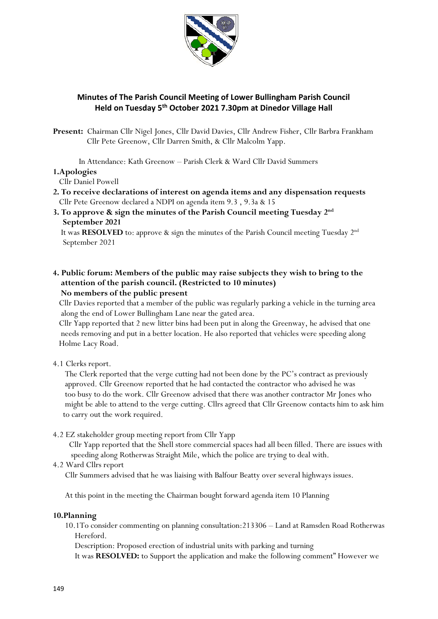

## **Minutes of The Parish Council Meeting of Lower Bullingham Parish Council Held on Tuesday 5 th October 2021 7.30pm at Dinedor Village Hall**

**Present:** Chairman Cllr Nigel Jones, Cllr David Davies, Cllr Andrew Fisher, Cllr Barbra Frankham Cllr Pete Greenow, Cllr Darren Smith, & Cllr Malcolm Yapp.

In Attendance: Kath Greenow – Parish Clerk & Ward Cllr David Summers

#### **1.Apologies**

Cllr Daniel Powell

- **2. To receive declarations of interest on agenda items and any dispensation requests** Cllr Pete Greenow declared a NDPI on agenda item 9.3 , 9.3a & 15
- **3. To approve & sign the minutes of the Parish Council meeting Tuesday 2nd September 2021**

 It was **RESOLVED** to: approve & sign the minutes of the Parish Council meeting Tuesday 2nd September 2021

### **4. Public forum: Members of the public may raise subjects they wish to bring to the attention of the parish council. (Restricted to 10 minutes) No members of the public present**

 Cllr Davies reported that a member of the public was regularly parking a vehicle in the turning area along the end of Lower Bullingham Lane near the gated area.

 Cllr Yapp reported that 2 new litter bins had been put in along the Greenway, he advised that one needs removing and put in a better location. He also reported that vehicles were speeding along Holme Lacy Road.

4.1 Clerks report.

 The Clerk reported that the verge cutting had not been done by the PC's contract as previously approved. Cllr Greenow reported that he had contacted the contractor who advised he was too busy to do the work. Cllr Greenow advised that there was another contractor Mr Jones who might be able to attend to the verge cutting. Cllrs agreed that Cllr Greenow contacts him to ask him to carry out the work required.

4.2 EZ stakeholder group meeting report from Cllr Yapp

 Cllr Yapp reported that the Shell store commercial spaces had all been filled. There are issues with speeding along Rotherwas Straight Mile, which the police are trying to deal with.

4.2 Ward Cllrs report

Cllr Summers advised that he was liaising with Balfour Beatty over several highways issues.

At this point in the meeting the Chairman bought forward agenda item 10 Planning

#### **10.Planning**

 10.1To consider commenting on planning consultation:213306 – Land at Ramsden Road Rotherwas Hereford.

Description: Proposed erection of industrial units with parking and turning

It was **RESOLVED:** to Support the application and make the following comment" However we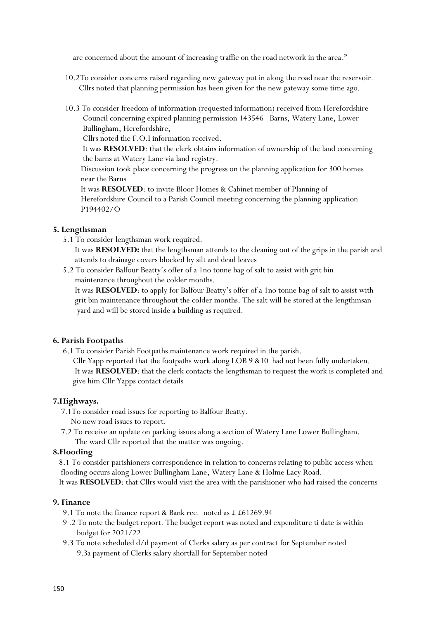are concerned about the amount of increasing traffic on the road network in the area."

- 10.2To consider concerns raised regarding new gateway put in along the road near the reservoir. Cllrs noted that planning permission has been given for the new gateway some time ago.
- 10.3 To consider freedom of information (requested information) received from Herefordshire Council concerning expired planning permission 143546 Barns, Watery Lane, Lower Bullingham, Herefordshire,

Cllrs noted the F.O.I information received.

 It was **RESOLVED**: that the clerk obtains information of ownership of the land concerning the barns at Watery Lane via land registry.

 Discussion took place concerning the progress on the planning application for 300 homes near the Barns

 It was **RESOLVED**: to invite Bloor Homes & Cabinet member of Planning of Herefordshire Council to a Parish Council meeting concerning the planning application P194402/O

### **5. Lengthsman**

5.1 To consider lengthsman work required.

 It was **RESOLVED:** that the lengthsman attends to the cleaning out of the grips in the parish and attends to drainage covers blocked by silt and dead leaves

 5.2 To consider Balfour Beatty's offer of a 1no tonne bag of salt to assist with grit bin maintenance throughout the colder months.

 It was **RESOLVED**: to apply for Balfour Beatty's offer of a 1no tonne bag of salt to assist with grit bin maintenance throughout the colder months. The salt will be stored at the lengthmsan yard and will be stored inside a building as required.

### **6. Parish Footpaths**

6.1 To consider Parish Footpaths maintenance work required in the parish.

 Cllr Yapp reported that the footpaths work along LOB 9 &10 had not been fully undertaken. It was **RESOLVED**: that the clerk contacts the lengthsman to request the work is completed and give him Cllr Yapps contact details

### **7.Highways.**

7.1To consider road issues for reporting to Balfour Beatty.

- No new road issues to report.
- 7.2 To receive an update on parking issues along a section of Watery Lane Lower Bullingham. The ward Cllr reported that the matter was ongoing.

### **8.Flooding**

 8.1 To consider parishioners correspondence in relation to concerns relating to public access when flooding occurs along Lower Bullingham Lane, Watery Lane & Holme Lacy Road.

It was **RESOLVED**: that Cllrs would visit the area with the parishioner who had raised the concerns

### **9. Finance**

- 9.1 To note the finance report & Bank rec. noted as £ £61269.94
- 9 .2 To note the budget report. The budget report was noted and expenditure ti date is within budget for 2021/22
- 9.3 To note scheduled d/d payment of Clerks salary as per contract for September noted 9.3a payment of Clerks salary shortfall for September noted